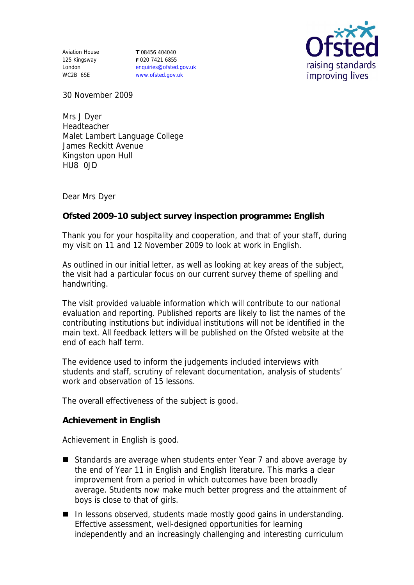Aviation House 125 Kingsway London WC2B 6SE

**T** 08456 404040 **F** 020 7421 6855 enquiries@ofsted.gov.uk www.ofsted.gov.uk



30 November 2009

Mrs J Dyer Headteacher Malet Lambert Language College James Reckitt Avenue Kingston upon Hull HU8 0JD

Dear Mrs Dyer

**Ofsted 2009-10 subject survey inspection programme: English**

Thank you for your hospitality and cooperation, and that of your staff, during my visit on 11 and 12 November 2009 to look at work in English.

As outlined in our initial letter, as well as looking at key areas of the subject, the visit had a particular focus on our current survey theme of spelling and handwriting.

The visit provided valuable information which will contribute to our national evaluation and reporting. Published reports are likely to list the names of the contributing institutions but individual institutions will not be identified in the main text. All feedback letters will be published on the Ofsted website at the end of each half term.

The evidence used to inform the judgements included interviews with students and staff, scrutiny of relevant documentation, analysis of students' work and observation of 15 lessons.

The overall effectiveness of the subject is good.

**Achievement in English**

Achievement in English is good.

- Standards are average when students enter Year 7 and above average by the end of Year 11 in English and English literature. This marks a clear improvement from a period in which outcomes have been broadly average. Students now make much better progress and the attainment of boys is close to that of girls.
- In lessons observed, students made mostly good gains in understanding. Effective assessment, well-designed opportunities for learning independently and an increasingly challenging and interesting curriculum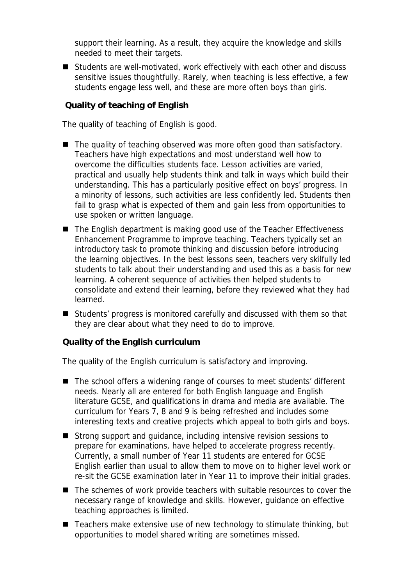support their learning. As a result, they acquire the knowledge and skills needed to meet their targets.

■ Students are well-motivated, work effectively with each other and discuss sensitive issues thoughtfully. Rarely, when teaching is less effective, a few students engage less well, and these are more often boys than girls.

**Quality of teaching of English**

The quality of teaching of English is good.

- $\blacksquare$  The quality of teaching observed was more often good than satisfactory. Teachers have high expectations and most understand well how to overcome the difficulties students face. Lesson activities are varied, practical and usually help students think and talk in ways which build their understanding. This has a particularly positive effect on boys' progress. In a minority of lessons, such activities are less confidently led. Students then fail to grasp what is expected of them and gain less from opportunities to use spoken or written language.
- The English department is making good use of the Teacher Effectiveness Enhancement Programme to improve teaching. Teachers typically set an introductory task to promote thinking and discussion before introducing the learning objectives. In the best lessons seen, teachers very skilfully led students to talk about their understanding and used this as a basis for new learning. A coherent sequence of activities then helped students to consolidate and extend their learning, before they reviewed what they had learned.
- Students' progress is monitored carefully and discussed with them so that they are clear about what they need to do to improve.

**Quality of the English curriculum**

The quality of the English curriculum is satisfactory and improving.

- The school offers a widening range of courses to meet students' different needs. Nearly all are entered for both English language and English literature GCSE, and qualifications in drama and media are available. The curriculum for Years 7, 8 and 9 is being refreshed and includes some interesting texts and creative projects which appeal to both girls and boys.
- Strong support and quidance, including intensive revision sessions to prepare for examinations, have helped to accelerate progress recently. Currently, a small number of Year 11 students are entered for GCSE English earlier than usual to allow them to move on to higher level work or re-sit the GCSE examination later in Year 11 to improve their initial grades.
- The schemes of work provide teachers with suitable resources to cover the necessary range of knowledge and skills. However, guidance on effective teaching approaches is limited.
- Teachers make extensive use of new technology to stimulate thinking, but opportunities to model shared writing are sometimes missed.